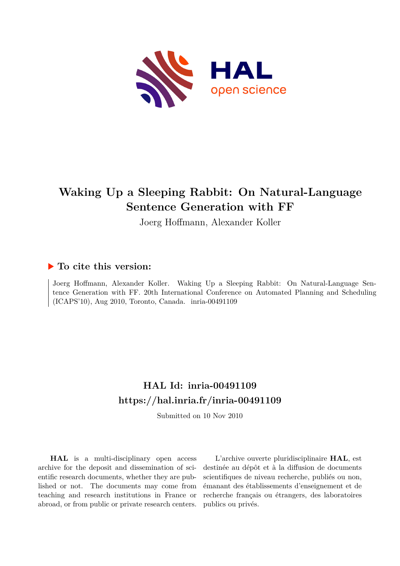

# **Waking Up a Sleeping Rabbit: On Natural-Language Sentence Generation with FF**

Joerg Hoffmann, Alexander Koller

### **To cite this version:**

Joerg Hoffmann, Alexander Koller. Waking Up a Sleeping Rabbit: On Natural-Language Sentence Generation with FF. 20th International Conference on Automated Planning and Scheduling (ICAPS'10), Aug 2010, Toronto, Canada. inria-00491109

## **HAL Id: inria-00491109 <https://hal.inria.fr/inria-00491109>**

Submitted on 10 Nov 2010

**HAL** is a multi-disciplinary open access archive for the deposit and dissemination of scientific research documents, whether they are published or not. The documents may come from teaching and research institutions in France or abroad, or from public or private research centers.

L'archive ouverte pluridisciplinaire **HAL**, est destinée au dépôt et à la diffusion de documents scientifiques de niveau recherche, publiés ou non, émanant des établissements d'enseignement et de recherche français ou étrangers, des laboratoires publics ou privés.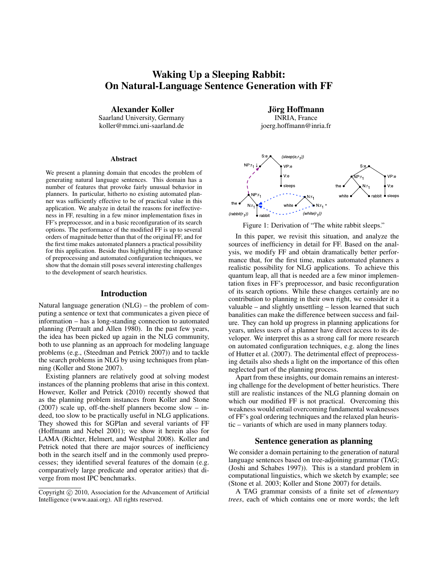### **Waking Up a Sleeping Rabbit: On Natural-Language Sentence Generation with FF**

**Alexander Koller**

Saarland University, Germany koller@mmci.uni-saarland.de

#### **Abstract**

We present a planning domain that encodes the problem of generating natural language sentences. This domain has a number of features that provoke fairly unusual behavior in planners. In particular, hitherto no existing automated planner was sufficiently effective to be of practical value in this application. We analyze in detail the reasons for ineffectiveness in FF, resulting in a few minor implementation fixes in FF's preprocessor, and in a basic reconfiguration of its search options. The performance of the modified FF is up to several orders of magnitude better than that of the original FF, and for the first time makes automated planners a practical possibility for this application. Beside thus highlighting the importance of preprocessing and automated configuration techniques, we show that the domain still poses several interesting challenges to the development of search heuristics.

#### **Introduction**

Natural language generation (NLG) – the problem of computing a sentence or text that communicates a given piece of information – has a long-standing connection to automated planning (Perrault and Allen 1980). In the past few years, the idea has been picked up again in the NLG community, both to use planning as an approach for modeling language problems (e.g., (Steedman and Petrick 2007)) and to tackle the search problems in NLG by using techniques from planning (Koller and Stone 2007).

Existing planners are relatively good at solving modest instances of the planning problems that arise in this context. However, Koller and Petrick (2010) recently showed that as the planning problem instances from Koller and Stone (2007) scale up, off-the-shelf planners become slow – indeed, too slow to be practically useful in NLG applications. They showed this for SGPlan and several variants of FF (Hoffmann and Nebel 2001); we show it herein also for LAMA (Richter, Helmert, and Westphal 2008). Koller and Petrick noted that there are major sources of inefficiency both in the search itself and in the commonly used preprocesses; they identified several features of the domain (e.g. comparatively large predicate and operator arities) that diverge from most IPC benchmarks.

**Jorg Hoffmann ¨** INRIA, France joerg.hoffmann@inria.fr



Figure 1: Derivation of "The white rabbit sleeps."

In this paper, we revisit this situation, and analyze the sources of inefficiency in detail for FF. Based on the analysis, we modify FF and obtain dramatically better performance that, for the first time, makes automated planners a realistic possibility for NLG applications. To achieve this quantum leap, all that is needed are a few minor implementation fixes in FF's preprocessor, and basic reconfiguration of its search options. While these changes certainly are no contribution to planning in their own right, we consider it a valuable – and slightly unsettling – lesson learned that such banalities can make the difference between success and failure. They can hold up progress in planning applications for years, unless users of a planner have direct access to its developer. We interpret this as a strong call for more research on automated configuration techniques, e.g. along the lines of Hutter et al. (2007). The detrimental effect of preprocessing details also sheds a light on the importance of this often neglected part of the planning process.

Apart from these insights, our domain remains an interesting challenge for the development of better heuristics. There still are realistic instances of the NLG planning domain on which our modified FF is not practical. Overcoming this weakness would entail overcoming fundamental weaknesses of FF's goal ordering techniques and the relaxed plan heuristic – variants of which are used in many planners today.

#### **Sentence generation as planning**

We consider a domain pertaining to the generation of natural language sentences based on tree-adjoining grammar (TAG; (Joshi and Schabes 1997)). This is a standard problem in computational linguistics, which we sketch by example; see (Stone et al. 2003; Koller and Stone 2007) for details.

A TAG grammar consists of a finite set of *elementary trees*, each of which contains one or more words; the left

Copyright  $\odot$  2010, Association for the Advancement of Artificial Intelligence (www.aaai.org). All rights reserved.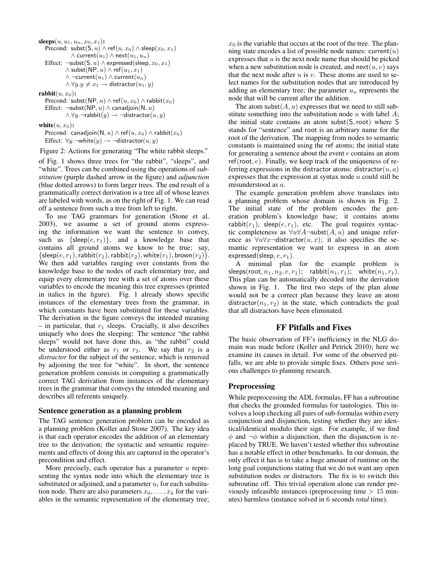```
sleeps(u, u_1, u_n, x_0, x_1):
Precond: subst(S, u) \wedge ref(u, x_0) \wedge sleep(x_0, x_1)∧ current(u_1) ∧ next(u_1, u_n)Effect: \negsubst(S, u) ∧ expressed(sleep, x<sub>0</sub>, x<sub>1</sub>)
          \wedge subst(NP, u) \wedge ref(u_1, x_1)∧ ¬current(u_1) ∧ current(u_n)\land \forall y \, y \neq x_1 \rightarrow distractor(u_1, y)\textbf{rability}(u, x_0):
```
Precond: subst(NP, u)  $\wedge$  ref $(u, x_0) \wedge$  rabbit $(x_0)$ Effect:  $\neg$ subst(NP, u)  $\land$  canadjoin(N, u)  $\land \forall y$ . $\neg$ rabbit $(y) \rightarrow \neg$ distractor $(u, y)$ 

 $\textbf{white}(u, x_0)$ :

Precond: canadjoin(N, u)  $\wedge$  ref $(u, x_0) \wedge$  rabbit $(x_0)$ Effect:  $\forall y. \neg \text{white}(y) \rightarrow \neg \text{distance}(u, y)$ 

Figure 2: Actions for generating "The white rabbit sleeps."

of Fig. 1 shows three trees for "the rabbit", "sleeps", and "white". Trees can be combined using the operations of *substitution* (purple dashed arrow in the figure) and *adjunction* (blue dotted arrows) to form larger trees. The end result of a grammatically correct derivation is a tree all of whose leaves are labeled with words, as on the right of Fig. 1. We can read off a sentence from such a tree from left to right.

To use TAG grammars for generation (Stone et al. 2003), we assume a set of ground atoms expressing the information we want the sentence to convey, such as  $\{sleep(e, r_1)\},$  and a knowledge base that contains all ground atoms we know to be true; say,  $\{\mathsf{sleep}(e, r_1),\mathsf{rabbit}(r_1),\mathsf{rabbit}(r_2),\mathsf{white}(r_1),\mathsf{brown}(r_2)\}.$ We then add variables ranging over constants from the knowledge base to the nodes of each elementary tree, and equip every elementary tree with a set of atoms over these variables to encode the meaning this tree expresses (printed in italics in the figure). Fig. 1 already shows specific instances of the elementary trees from the grammar, in which constants have been substituted for these variables. The derivation in the figure conveys the intended meaning – in particular, that  $r_1$  sleeps. Crucially, it also describes uniquely who does the sleeping: The sentence "the rabbit sleeps" would not have done this, as "the rabbit" could be understood either as  $r_1$  or  $r_2$ . We say that  $r_2$  is a *distractor* for the subject of the sentence, which is removed by adjoining the tree for "white". In short, the sentence generation problem consists in computing a grammatically correct TAG derivation from instances of the elementary trees in the grammar that conveys the intended meaning and describes all referents uniquely.

#### **Sentence generation as a planning problem**

The TAG sentence generation problem can be encoded as a planning problem (Koller and Stone 2007). The key idea is that each operator encodes the addition of an elementary tree to the derivation; the syntactic and semantic requirements and effects of doing this are captured in the operator's precondition and effect.

More precisely, each operator has a parameter  $u$  representing the syntax node into which the elementary tree is substituted or adjoined, and a parameter  $u_i$  for each substitution node. There are also parameters  $x_0, \ldots, x_k$  for the variables in the semantic representation of the elementary tree;

 $x_0$  is the variable that occurs at the root of the tree. The planning state encodes a list of possible node names:  $current(u)$ expresses that  $u$  is the next node name that should be picked when a new substitution node is created, and  $next(u, v)$  says that the next node after  $u$  is  $v$ . These atoms are used to select names for the substitution nodes that are introduced by adding an elementary tree; the parameter  $u_n$  represents the node that will be current after the addition.

The atom subst $(A, u)$  expresses that we need to still substitute something into the substitution node  $u$  with label  $A$ ; the initial state contains an atom subst $(S, root)$  where S stands for "sentence" and root is an arbitrary name for the root of the derivation. The mapping from nodes to semantic constants is maintained using the ref atoms; the initial state for generating a sentence about the event  $e$  contains an atom  $ref(root, e)$ . Finally, we keep track of the uniqueness of referring expressions in the distractor atoms: distractor $(u, a)$ expresses that the expression at syntax node  $u$  could still be misunderstood as a.

The example generation problem above translates into a planning problem whose domain is shown in Fig. 2. The initial state of the problem encodes the generation problem's knowledge base; it contains atoms rabbit( $r_1$ ), sleep( $e, r_1$ ), etc. The goal requires syntactic completeness as  $\forall u \forall A \neg \textsf{subst}(A, u)$  and unique reference as  $\forall u \forall x$ -distractor $(u, x)$ ; it also specifies the semantic representation we want to express in an atom expressed(sleep,  $e, r_1$ ).

A minimal plan for the example problem is sleeps(root,  $n_1, n_2, e, r_1$ ); rabbit $(n_1, r_1)$ ; white $(n_1, r_1)$ . This plan can be automatically decoded into the derivation shown in Fig. 1. The first two steps of the plan alone would not be a correct plan because they leave an atom distractor $(n_1, r_2)$  in the state, which contradicts the goal that all distractors have been eliminated.

#### **FF Pitfalls and Fixes**

The basic observation of FF's inefficiency in the NLG domain was made before (Koller and Petrick 2010); here we examine its causes in detail. For some of the observed pitfalls, we are able to provide simple fixes. Others pose serious challenges to planning research.

#### **Preprocessing**

While preprocessing the ADL formulas, FF has a subroutine that checks the grounded formulas for tautologies. This involves a loop checking all pairs of sub-formulas within every conjunction and disjunction, testing whether they are identical/identical modulo their sign. For example, if we find  $\phi$  and  $\neg \phi$  within a disjunction, then the disjunction is replaced by TRUE. We haven't tested whether this subroutine has a notable effect in other benchmarks. In our domain, the only effect it has is to take a huge amount of runtime on the long goal conjunctions stating that we do not want any open substitution nodes or distractors. The fix is to switch this subroutine off. This trivial operation alone can render previously infeasible instances (preprocessing time  $> 15$  minutes) harmless (instance solved in 6 seconds *total* time).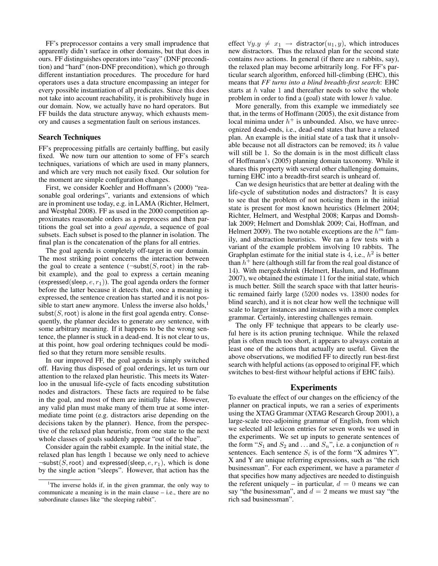FF's preprocessor contains a very small imprudence that apparently didn't surface in other domains, but that does in ours. FF distinguishes operators into "easy" (DNF precondition) and "hard" (non-DNF precondition), which go through different instantiation procedures. The procedure for hard operators uses a data structure encompassing an integer for every possible instantiation of all predicates. Since this does not take into account reachability, it is prohibitively huge in our domain. Now, we actually have no hard operators. But FF builds the data structure anyway, which exhausts memory and causes a segmentation fault on serious instances.

#### **Search Techniques**

FF's preprocessing pitfalls are certainly baffling, but easily fixed. We now turn our attention to some of FF's search techniques, variations of which are used in many planners, and which are very much not easily fixed. Our solution for the moment are simple configuration changes.

First, we consider Koehler and Hoffmann's (2000) "reasonable goal orderings", variants and extensions of which are in prominent use today, e.g. in LAMA (Richter, Helmert, and Westphal 2008). FF as used in the 2000 competition approximates reasonable orders as a preprocess and then partitions the goal set into a *goal agenda*, a sequence of goal subsets. Each subset is posed to the planner in isolation. The final plan is the concatenation of the plans for all entries.

The goal agenda is completely off-target in our domain. The most striking point concerns the interaction between the goal to create a sentence  $(\neg \textsf{subst}(S, \textsf{root})$  in the rabbit example), and the goal to express a certain meaning (expressed(sleep,  $e, r_1$ )). The goal agenda orders the former before the latter because it detects that, once a meaning is expressed, the sentence creation has started and it is not possible to start anew anymore. Unless the inverse also holds,<sup>1</sup>  $subst(S, root)$  is alone in the first goal agenda entry. Consequently, the planner decides to generate *any* sentence, with some arbitrary meaning. If it happens to be the wrong sentence, the planner is stuck in a dead-end. It is not clear to us, at this point, how goal ordering techniques could be modified so that they return more sensible results.

In our improved FF, the goal agenda is simply switched off. Having thus disposed of goal orderings, let us turn our attention to the relaxed plan heuristic. This meets its Waterloo in the unusual life-cycle of facts encoding substitution nodes and distractors. These facts are required to be false in the goal, and most of them are initially false. However, any valid plan must make many of them true at some intermediate time point (e.g. distractors arise depending on the decisions taken by the planner). Hence, from the perspective of the relaxed plan heuristic, from one state to the next whole classes of goals suddenly appear "out of the blue".

Consider again the rabbit example. In the initial state, the relaxed plan has length 1 because we only need to achieve  $\neg$ subst(S, root) and expressed(sleep, e,  $r_1$ ), which is done by the single action "sleeps". However, that action has the

effect  $\forall y \cdot y \neq x_1 \rightarrow$  distractor $(u_1, y)$ , which introduces new distractors. Thus the relaxed plan for the second state contains *two* actions. In general (if there are n rabbits, say), the relaxed plan may become arbitrarily long. For FF's particular search algorithm, enforced hill-climbing (EHC), this means that *FF turns into a blind breadth-first search*: EHC starts at  $h$  value 1 and thereafter needs to solve the whole problem in order to find a (goal) state with lower  $h$  value.

More generally, from this example we immediately see that, in the terms of Hoffmann (2005), the exit distance from local minima under  $h^+$  is unbounded. Also, we have unrecognized dead-ends, i.e., dead-end states that have a relaxed plan. An example is the initial state of a task that it unsolvable because not all distractors can be removed; its  $h$  value will still be 1. So the domain is in the most difficult class of Hoffmann's (2005) planning domain taxonomy. While it shares this property with several other challenging domains, turning EHC into a breadth-first search is unheard of.

Can we design heuristics that are better at dealing with the life-cycle of substitution nodes and distractors? It is easy to see that the problem of not noticing them in the initial state is present for most known heuristics (Helmert 2004; Richter, Helmert, and Westphal 2008; Karpas and Domshlak 2009; Helmert and Domshlak 2009; Cai, Hoffman, and Helmert 2009). The two notable exceptions are the  $h^m$  family, and abstraction heuristics. We ran a few tests with a variant of the example problem involving 10 rabbits. The Graphplan estimate for the initial state is 4, i.e.,  $h^2$  is better than  $h^{\dagger}$  here (although still far from the real goal distance of 14). With merge&shrink (Helmert, Haslum, and Hoffmann 2007), we obtained the estimate 11 for the initial state, which is much better. Still the search space with that latter heuristic remained fairly large (5200 nodes vs. 13800 nodes for blind search), and it is not clear how well the technique will scale to larger instances and instances with a more complex grammar. Certainly, interesting challenges remain.

The only FF technique that appears to be clearly useful here is its action pruning technique. While the relaxed plan is often much too short, it appears to always contain at least one of the actions that actually are useful. Given the above observations, we modified FF to directly run best-first search with helpful actions (as opposed to original FF, which switches to best-first with*out* helpful actions if EHC fails).

#### **Experiments**

To evaluate the effect of our changes on the efficiency of the planner on practical inputs, we ran a series of experiments using the XTAG Grammar (XTAG Research Group 2001), a large-scale tree-adjoining grammar of English, from which we selected all lexicon entries for seven words we used in the experiments. We set up inputs to generate sentences of the form " $S_1$  and  $S_2$  and ... and  $S_n$ ", i.e. a conjunction of n sentences. Each sentence  $S_i$  is of the form "X admires Y". X and Y are unique referring expressions, such as "the rich businessman". For each experiment, we have a parameter  $d$ that specifies how many adjectives are needed to distinguish the referent uniquely – in particular,  $d = 0$  means we can say "the businessman", and  $d = 2$  means we must say "the rich sad businessman".

<sup>&</sup>lt;sup>1</sup>The inverse holds if, in the given grammar, the only way to communicate a meaning is in the main clause – i.e., there are no subordinate clauses like "the sleeping rabbit".